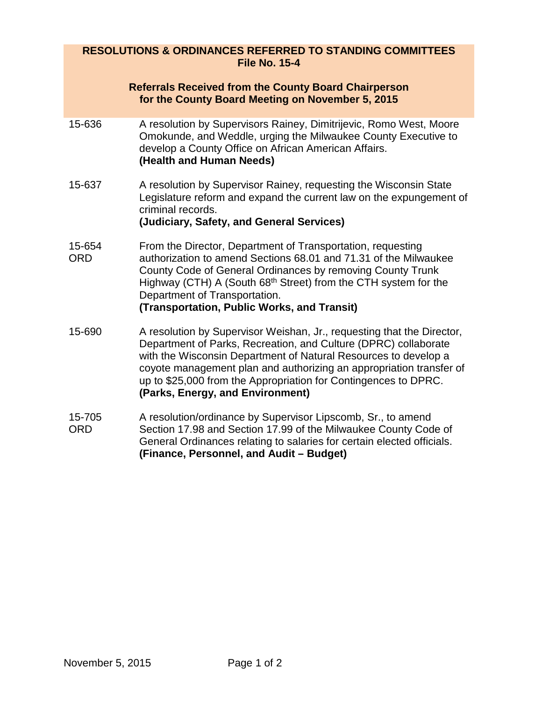## **RESOLUTIONS & ORDINANCES REFERRED TO STANDING COMMITTEES File No. 15-4**

|                      | <b>Referrals Received from the County Board Chairperson</b><br>for the County Board Meeting on November 5, 2015                                                                                                                                                                                                                                                                            |
|----------------------|--------------------------------------------------------------------------------------------------------------------------------------------------------------------------------------------------------------------------------------------------------------------------------------------------------------------------------------------------------------------------------------------|
| 15-636               | A resolution by Supervisors Rainey, Dimitrijevic, Romo West, Moore<br>Omokunde, and Weddle, urging the Milwaukee County Executive to<br>develop a County Office on African American Affairs.<br>(Health and Human Needs)                                                                                                                                                                   |
| 15-637               | A resolution by Supervisor Rainey, requesting the Wisconsin State<br>Legislature reform and expand the current law on the expungement of<br>criminal records.<br>(Judiciary, Safety, and General Services)                                                                                                                                                                                 |
| 15-654<br><b>ORD</b> | From the Director, Department of Transportation, requesting<br>authorization to amend Sections 68.01 and 71.31 of the Milwaukee<br>County Code of General Ordinances by removing County Trunk<br>Highway (CTH) A (South 68 <sup>th</sup> Street) from the CTH system for the<br>Department of Transportation.<br>(Transportation, Public Works, and Transit)                               |
| 15-690               | A resolution by Supervisor Weishan, Jr., requesting that the Director,<br>Department of Parks, Recreation, and Culture (DPRC) collaborate<br>with the Wisconsin Department of Natural Resources to develop a<br>coyote management plan and authorizing an appropriation transfer of<br>up to \$25,000 from the Appropriation for Contingences to DPRC.<br>(Parks, Energy, and Environment) |
| 15-705<br><b>ORD</b> | A resolution/ordinance by Supervisor Lipscomb, Sr., to amend<br>Section 17.98 and Section 17.99 of the Milwaukee County Code of<br>General Ordinances relating to salaries for certain elected officials.<br>(Finance, Personnel, and Audit - Budget)                                                                                                                                      |